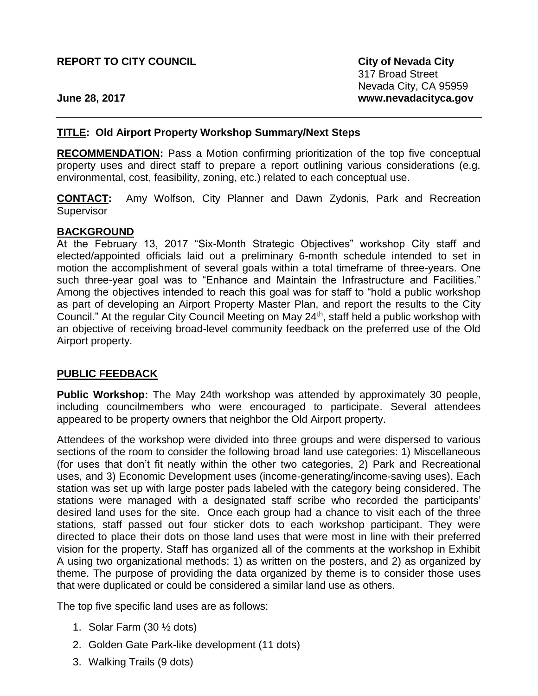**City of Nevada City** 317 Broad Street Nevada City, CA 95959 **www.nevadacityca.gov**

**June 28, 2017**

### **TITLE: Old Airport Property Workshop Summary/Next Steps**

**RECOMMENDATION:** Pass a Motion confirming prioritization of the top five conceptual property uses and direct staff to prepare a report outlining various considerations (e.g. environmental, cost, feasibility, zoning, etc.) related to each conceptual use.

**CONTACT:** Amy Wolfson, City Planner and Dawn Zydonis, Park and Recreation Supervisor

#### **BACKGROUND**

At the February 13, 2017 "Six-Month Strategic Objectives" workshop City staff and elected/appointed officials laid out a preliminary 6-month schedule intended to set in motion the accomplishment of several goals within a total timeframe of three-years. One such three-year goal was to "Enhance and Maintain the Infrastructure and Facilities." Among the objectives intended to reach this goal was for staff to "hold a public workshop as part of developing an Airport Property Master Plan, and report the results to the City Council." At the regular City Council Meeting on May 24<sup>th</sup>, staff held a public workshop with an objective of receiving broad-level community feedback on the preferred use of the Old Airport property.

### **PUBLIC FEEDBACK**

**Public Workshop:** The May 24th workshop was attended by approximately 30 people, including councilmembers who were encouraged to participate. Several attendees appeared to be property owners that neighbor the Old Airport property.

Attendees of the workshop were divided into three groups and were dispersed to various sections of the room to consider the following broad land use categories: 1) Miscellaneous (for uses that don't fit neatly within the other two categories, 2) Park and Recreational uses, and 3) Economic Development uses (income-generating/income-saving uses). Each station was set up with large poster pads labeled with the category being considered. The stations were managed with a designated staff scribe who recorded the participants' desired land uses for the site. Once each group had a chance to visit each of the three stations, staff passed out four sticker dots to each workshop participant. They were directed to place their dots on those land uses that were most in line with their preferred vision for the property. Staff has organized all of the comments at the workshop in Exhibit A using two organizational methods: 1) as written on the posters, and 2) as organized by theme. The purpose of providing the data organized by theme is to consider those uses that were duplicated or could be considered a similar land use as others.

The top five specific land uses are as follows:

- 1. Solar Farm (30 ½ dots)
- 2. Golden Gate Park-like development (11 dots)
- 3. Walking Trails (9 dots)